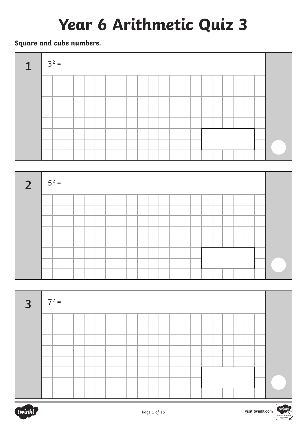# **Year 6 Arithmetic Quiz 3**

## **Square and cube numbers.**









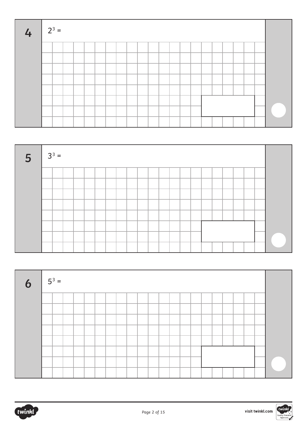| $4 \mid 2^3 =$ |  |  |  |  |  |  |  |  |  |  |  |
|----------------|--|--|--|--|--|--|--|--|--|--|--|
|                |  |  |  |  |  |  |  |  |  |  |  |
|                |  |  |  |  |  |  |  |  |  |  |  |
|                |  |  |  |  |  |  |  |  |  |  |  |
|                |  |  |  |  |  |  |  |  |  |  |  |
|                |  |  |  |  |  |  |  |  |  |  |  |
|                |  |  |  |  |  |  |  |  |  |  |  |
|                |  |  |  |  |  |  |  |  |  |  |  |
|                |  |  |  |  |  |  |  |  |  |  |  |







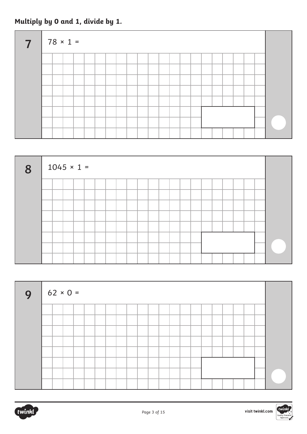## **Multiply by 0 and 1, divide by 1.**

| $\overline{7}$ | $\mid$ 78 × 1 = |  |  |  |  |  |  |  |  |  |  |
|----------------|-----------------|--|--|--|--|--|--|--|--|--|--|
|                |                 |  |  |  |  |  |  |  |  |  |  |
|                |                 |  |  |  |  |  |  |  |  |  |  |
|                |                 |  |  |  |  |  |  |  |  |  |  |
|                |                 |  |  |  |  |  |  |  |  |  |  |
|                |                 |  |  |  |  |  |  |  |  |  |  |
|                |                 |  |  |  |  |  |  |  |  |  |  |
|                |                 |  |  |  |  |  |  |  |  |  |  |
|                |                 |  |  |  |  |  |  |  |  |  |  |

| 8 | $1045 \times 1 =$ |  |  |  |  |  |  |  |  |  |  |
|---|-------------------|--|--|--|--|--|--|--|--|--|--|
|   |                   |  |  |  |  |  |  |  |  |  |  |
|   |                   |  |  |  |  |  |  |  |  |  |  |
|   |                   |  |  |  |  |  |  |  |  |  |  |
|   |                   |  |  |  |  |  |  |  |  |  |  |
|   |                   |  |  |  |  |  |  |  |  |  |  |
|   |                   |  |  |  |  |  |  |  |  |  |  |
|   |                   |  |  |  |  |  |  |  |  |  |  |
|   |                   |  |  |  |  |  |  |  |  |  |  |

| $9   62 \times 0 =$ |  |  |  |  |  |  |  |  |  |  |  |
|---------------------|--|--|--|--|--|--|--|--|--|--|--|
|                     |  |  |  |  |  |  |  |  |  |  |  |
|                     |  |  |  |  |  |  |  |  |  |  |  |
|                     |  |  |  |  |  |  |  |  |  |  |  |
|                     |  |  |  |  |  |  |  |  |  |  |  |
|                     |  |  |  |  |  |  |  |  |  |  |  |
|                     |  |  |  |  |  |  |  |  |  |  |  |
|                     |  |  |  |  |  |  |  |  |  |  |  |
|                     |  |  |  |  |  |  |  |  |  |  |  |



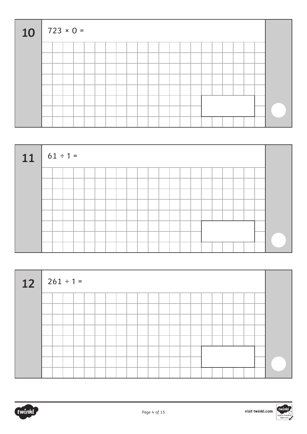| 10 |  | $723 \times 0 =$ |  |  |  |  |  |  |  |  |  |  |
|----|--|------------------|--|--|--|--|--|--|--|--|--|--|
|    |  |                  |  |  |  |  |  |  |  |  |  |  |
|    |  |                  |  |  |  |  |  |  |  |  |  |  |
|    |  |                  |  |  |  |  |  |  |  |  |  |  |
|    |  |                  |  |  |  |  |  |  |  |  |  |  |
|    |  |                  |  |  |  |  |  |  |  |  |  |  |
|    |  |                  |  |  |  |  |  |  |  |  |  |  |
|    |  |                  |  |  |  |  |  |  |  |  |  |  |
|    |  |                  |  |  |  |  |  |  |  |  |  |  |

| $11$ 61 ÷ 1 = |  |  |  |  |  |  |  |  |  |  |  |
|---------------|--|--|--|--|--|--|--|--|--|--|--|
|               |  |  |  |  |  |  |  |  |  |  |  |
|               |  |  |  |  |  |  |  |  |  |  |  |
|               |  |  |  |  |  |  |  |  |  |  |  |
|               |  |  |  |  |  |  |  |  |  |  |  |
|               |  |  |  |  |  |  |  |  |  |  |  |
|               |  |  |  |  |  |  |  |  |  |  |  |
|               |  |  |  |  |  |  |  |  |  |  |  |
|               |  |  |  |  |  |  |  |  |  |  |  |

| $12   261 \div 1 =$ |  |  |  |  |  |  |  |  |  |  |  |
|---------------------|--|--|--|--|--|--|--|--|--|--|--|
|                     |  |  |  |  |  |  |  |  |  |  |  |
|                     |  |  |  |  |  |  |  |  |  |  |  |
|                     |  |  |  |  |  |  |  |  |  |  |  |
|                     |  |  |  |  |  |  |  |  |  |  |  |
|                     |  |  |  |  |  |  |  |  |  |  |  |
|                     |  |  |  |  |  |  |  |  |  |  |  |
|                     |  |  |  |  |  |  |  |  |  |  |  |
|                     |  |  |  |  |  |  |  |  |  |  |  |





visit twinkl.com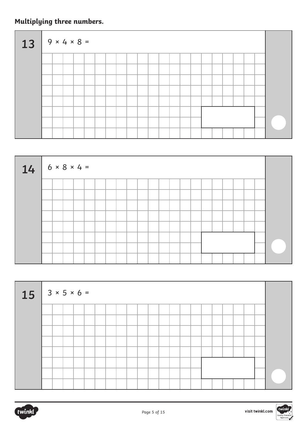# **Multiplying three numbers.**

| $13$ $9 \times 4 \times 8 =$ |  |  |  |  |  |  |  |  |  |  |  |
|------------------------------|--|--|--|--|--|--|--|--|--|--|--|
|                              |  |  |  |  |  |  |  |  |  |  |  |
|                              |  |  |  |  |  |  |  |  |  |  |  |
|                              |  |  |  |  |  |  |  |  |  |  |  |
|                              |  |  |  |  |  |  |  |  |  |  |  |
|                              |  |  |  |  |  |  |  |  |  |  |  |
|                              |  |  |  |  |  |  |  |  |  |  |  |
|                              |  |  |  |  |  |  |  |  |  |  |  |
|                              |  |  |  |  |  |  |  |  |  |  |  |



| $15$ 3 x 5 x 6 = |  |  |  |  |  |  |  |  |  |  |  |
|------------------|--|--|--|--|--|--|--|--|--|--|--|
|                  |  |  |  |  |  |  |  |  |  |  |  |
|                  |  |  |  |  |  |  |  |  |  |  |  |
|                  |  |  |  |  |  |  |  |  |  |  |  |
|                  |  |  |  |  |  |  |  |  |  |  |  |
|                  |  |  |  |  |  |  |  |  |  |  |  |
|                  |  |  |  |  |  |  |  |  |  |  |  |
|                  |  |  |  |  |  |  |  |  |  |  |  |
|                  |  |  |  |  |  |  |  |  |  |  |  |

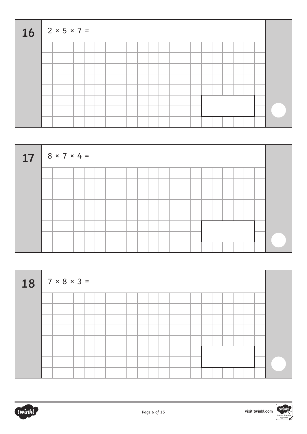| $16$   2 × 5 × 7 = |  |  |  |  |  |  |  |  |  |  |  |
|--------------------|--|--|--|--|--|--|--|--|--|--|--|
|                    |  |  |  |  |  |  |  |  |  |  |  |
|                    |  |  |  |  |  |  |  |  |  |  |  |
|                    |  |  |  |  |  |  |  |  |  |  |  |
|                    |  |  |  |  |  |  |  |  |  |  |  |
|                    |  |  |  |  |  |  |  |  |  |  |  |
|                    |  |  |  |  |  |  |  |  |  |  |  |
|                    |  |  |  |  |  |  |  |  |  |  |  |
|                    |  |  |  |  |  |  |  |  |  |  |  |

| $17   8 \times 7 \times 4 =$ |  |  |  |  |  |  |  |  |  |  |  |
|------------------------------|--|--|--|--|--|--|--|--|--|--|--|
|                              |  |  |  |  |  |  |  |  |  |  |  |
|                              |  |  |  |  |  |  |  |  |  |  |  |
|                              |  |  |  |  |  |  |  |  |  |  |  |
|                              |  |  |  |  |  |  |  |  |  |  |  |
|                              |  |  |  |  |  |  |  |  |  |  |  |
|                              |  |  |  |  |  |  |  |  |  |  |  |
|                              |  |  |  |  |  |  |  |  |  |  |  |
|                              |  |  |  |  |  |  |  |  |  |  |  |

| $18$ 7 × 8 × 3 = |  |  |  |  |  |  |  |  |  |  |  |
|------------------|--|--|--|--|--|--|--|--|--|--|--|
|                  |  |  |  |  |  |  |  |  |  |  |  |
|                  |  |  |  |  |  |  |  |  |  |  |  |
|                  |  |  |  |  |  |  |  |  |  |  |  |
|                  |  |  |  |  |  |  |  |  |  |  |  |
|                  |  |  |  |  |  |  |  |  |  |  |  |
|                  |  |  |  |  |  |  |  |  |  |  |  |
|                  |  |  |  |  |  |  |  |  |  |  |  |
|                  |  |  |  |  |  |  |  |  |  |  |  |



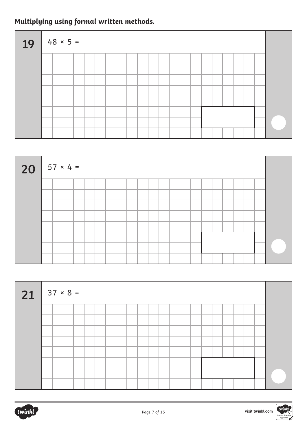# **Multiplying using formal written methods.**

| $19   48 \times 5 =$ |  |  |  |  |  |  |  |  |  |  |  |
|----------------------|--|--|--|--|--|--|--|--|--|--|--|
|                      |  |  |  |  |  |  |  |  |  |  |  |
|                      |  |  |  |  |  |  |  |  |  |  |  |
|                      |  |  |  |  |  |  |  |  |  |  |  |
|                      |  |  |  |  |  |  |  |  |  |  |  |
|                      |  |  |  |  |  |  |  |  |  |  |  |
|                      |  |  |  |  |  |  |  |  |  |  |  |
|                      |  |  |  |  |  |  |  |  |  |  |  |
|                      |  |  |  |  |  |  |  |  |  |  |  |

| $20$ $57 \times 4 =$ |  |  |  |  |  |  |  |  |  |  |  |
|----------------------|--|--|--|--|--|--|--|--|--|--|--|
|                      |  |  |  |  |  |  |  |  |  |  |  |
|                      |  |  |  |  |  |  |  |  |  |  |  |
|                      |  |  |  |  |  |  |  |  |  |  |  |
|                      |  |  |  |  |  |  |  |  |  |  |  |
|                      |  |  |  |  |  |  |  |  |  |  |  |
|                      |  |  |  |  |  |  |  |  |  |  |  |
|                      |  |  |  |  |  |  |  |  |  |  |  |
|                      |  |  |  |  |  |  |  |  |  |  |  |

| $21$ 37 × 8 = |  |  |  |  |  |  |  |  |  |  |  |  |
|---------------|--|--|--|--|--|--|--|--|--|--|--|--|
|               |  |  |  |  |  |  |  |  |  |  |  |  |
|               |  |  |  |  |  |  |  |  |  |  |  |  |
|               |  |  |  |  |  |  |  |  |  |  |  |  |
|               |  |  |  |  |  |  |  |  |  |  |  |  |
|               |  |  |  |  |  |  |  |  |  |  |  |  |
|               |  |  |  |  |  |  |  |  |  |  |  |  |
|               |  |  |  |  |  |  |  |  |  |  |  |  |
|               |  |  |  |  |  |  |  |  |  |  |  |  |

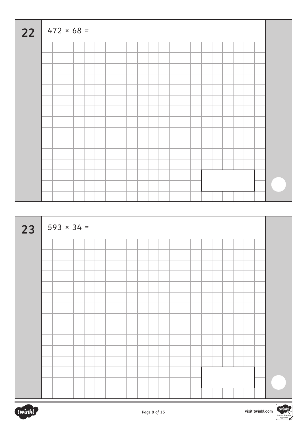| 22 | $472 \times 68 =$ |  |  |  |  |  |  |  |  |  |  |  |
|----|-------------------|--|--|--|--|--|--|--|--|--|--|--|
|    |                   |  |  |  |  |  |  |  |  |  |  |  |
|    |                   |  |  |  |  |  |  |  |  |  |  |  |
|    |                   |  |  |  |  |  |  |  |  |  |  |  |
|    |                   |  |  |  |  |  |  |  |  |  |  |  |
|    |                   |  |  |  |  |  |  |  |  |  |  |  |
|    |                   |  |  |  |  |  |  |  |  |  |  |  |
|    |                   |  |  |  |  |  |  |  |  |  |  |  |
|    |                   |  |  |  |  |  |  |  |  |  |  |  |
|    |                   |  |  |  |  |  |  |  |  |  |  |  |
|    |                   |  |  |  |  |  |  |  |  |  |  |  |
|    |                   |  |  |  |  |  |  |  |  |  |  |  |
|    |                   |  |  |  |  |  |  |  |  |  |  |  |
|    |                   |  |  |  |  |  |  |  |  |  |  |  |
|    |                   |  |  |  |  |  |  |  |  |  |  |  |
|    |                   |  |  |  |  |  |  |  |  |  |  |  |

|    |  | $593 \times 34 =$ |  |  |  |  |  |  |  |  |  |  |  |  |
|----|--|-------------------|--|--|--|--|--|--|--|--|--|--|--|--|
| 23 |  |                   |  |  |  |  |  |  |  |  |  |  |  |  |
|    |  |                   |  |  |  |  |  |  |  |  |  |  |  |  |
|    |  |                   |  |  |  |  |  |  |  |  |  |  |  |  |
|    |  |                   |  |  |  |  |  |  |  |  |  |  |  |  |
|    |  |                   |  |  |  |  |  |  |  |  |  |  |  |  |
|    |  |                   |  |  |  |  |  |  |  |  |  |  |  |  |
|    |  |                   |  |  |  |  |  |  |  |  |  |  |  |  |
|    |  |                   |  |  |  |  |  |  |  |  |  |  |  |  |
|    |  |                   |  |  |  |  |  |  |  |  |  |  |  |  |
|    |  |                   |  |  |  |  |  |  |  |  |  |  |  |  |
|    |  |                   |  |  |  |  |  |  |  |  |  |  |  |  |
|    |  |                   |  |  |  |  |  |  |  |  |  |  |  |  |
|    |  |                   |  |  |  |  |  |  |  |  |  |  |  |  |
|    |  |                   |  |  |  |  |  |  |  |  |  |  |  |  |
|    |  |                   |  |  |  |  |  |  |  |  |  |  |  |  |
|    |  |                   |  |  |  |  |  |  |  |  |  |  |  |  |

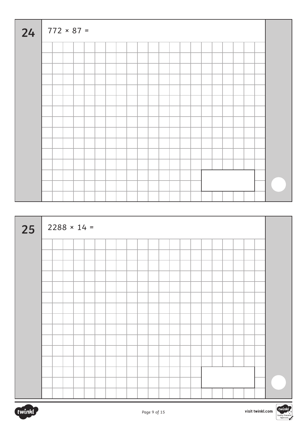| 24 |  | $772 \times 87 =$ |  |  |  |  |  |  |  |  |  |
|----|--|-------------------|--|--|--|--|--|--|--|--|--|
|    |  |                   |  |  |  |  |  |  |  |  |  |
|    |  |                   |  |  |  |  |  |  |  |  |  |
|    |  |                   |  |  |  |  |  |  |  |  |  |
|    |  |                   |  |  |  |  |  |  |  |  |  |
|    |  |                   |  |  |  |  |  |  |  |  |  |
|    |  |                   |  |  |  |  |  |  |  |  |  |
|    |  |                   |  |  |  |  |  |  |  |  |  |
|    |  |                   |  |  |  |  |  |  |  |  |  |
|    |  |                   |  |  |  |  |  |  |  |  |  |
|    |  |                   |  |  |  |  |  |  |  |  |  |
|    |  |                   |  |  |  |  |  |  |  |  |  |
|    |  |                   |  |  |  |  |  |  |  |  |  |
|    |  |                   |  |  |  |  |  |  |  |  |  |
|    |  |                   |  |  |  |  |  |  |  |  |  |
|    |  |                   |  |  |  |  |  |  |  |  |  |
|    |  |                   |  |  |  |  |  |  |  |  |  |

| 25 |  | $2288 \times 14 =$ |  |  |  |  |  |  |  |  |  |  |  |  |
|----|--|--------------------|--|--|--|--|--|--|--|--|--|--|--|--|
|    |  |                    |  |  |  |  |  |  |  |  |  |  |  |  |
|    |  |                    |  |  |  |  |  |  |  |  |  |  |  |  |
|    |  |                    |  |  |  |  |  |  |  |  |  |  |  |  |
|    |  |                    |  |  |  |  |  |  |  |  |  |  |  |  |
|    |  |                    |  |  |  |  |  |  |  |  |  |  |  |  |
|    |  |                    |  |  |  |  |  |  |  |  |  |  |  |  |
|    |  |                    |  |  |  |  |  |  |  |  |  |  |  |  |
|    |  |                    |  |  |  |  |  |  |  |  |  |  |  |  |
|    |  |                    |  |  |  |  |  |  |  |  |  |  |  |  |
|    |  |                    |  |  |  |  |  |  |  |  |  |  |  |  |
|    |  |                    |  |  |  |  |  |  |  |  |  |  |  |  |
|    |  |                    |  |  |  |  |  |  |  |  |  |  |  |  |
|    |  |                    |  |  |  |  |  |  |  |  |  |  |  |  |
|    |  |                    |  |  |  |  |  |  |  |  |  |  |  |  |
|    |  |                    |  |  |  |  |  |  |  |  |  |  |  |  |

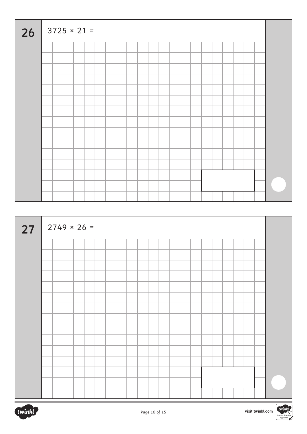| 26 | $3725 \times 21 =$ |  |  |  |  |  |  |  |  |  |  |   |
|----|--------------------|--|--|--|--|--|--|--|--|--|--|---|
|    |                    |  |  |  |  |  |  |  |  |  |  |   |
|    |                    |  |  |  |  |  |  |  |  |  |  |   |
|    |                    |  |  |  |  |  |  |  |  |  |  |   |
|    |                    |  |  |  |  |  |  |  |  |  |  |   |
|    |                    |  |  |  |  |  |  |  |  |  |  |   |
|    |                    |  |  |  |  |  |  |  |  |  |  |   |
|    |                    |  |  |  |  |  |  |  |  |  |  |   |
|    |                    |  |  |  |  |  |  |  |  |  |  |   |
|    |                    |  |  |  |  |  |  |  |  |  |  |   |
|    |                    |  |  |  |  |  |  |  |  |  |  |   |
|    |                    |  |  |  |  |  |  |  |  |  |  |   |
|    |                    |  |  |  |  |  |  |  |  |  |  |   |
|    |                    |  |  |  |  |  |  |  |  |  |  |   |
|    |                    |  |  |  |  |  |  |  |  |  |  |   |
|    |                    |  |  |  |  |  |  |  |  |  |  |   |
| ┱  |                    |  |  |  |  |  |  |  |  |  |  | ┲ |

| 27 |  |  | $2749 \times 26 =$ |  |  |  |  |  |  |  |  |  |
|----|--|--|--------------------|--|--|--|--|--|--|--|--|--|
|    |  |  |                    |  |  |  |  |  |  |  |  |  |
|    |  |  |                    |  |  |  |  |  |  |  |  |  |
|    |  |  |                    |  |  |  |  |  |  |  |  |  |
|    |  |  |                    |  |  |  |  |  |  |  |  |  |
|    |  |  |                    |  |  |  |  |  |  |  |  |  |
|    |  |  |                    |  |  |  |  |  |  |  |  |  |
|    |  |  |                    |  |  |  |  |  |  |  |  |  |
|    |  |  |                    |  |  |  |  |  |  |  |  |  |
|    |  |  |                    |  |  |  |  |  |  |  |  |  |
|    |  |  |                    |  |  |  |  |  |  |  |  |  |
|    |  |  |                    |  |  |  |  |  |  |  |  |  |
|    |  |  |                    |  |  |  |  |  |  |  |  |  |
|    |  |  |                    |  |  |  |  |  |  |  |  |  |
|    |  |  |                    |  |  |  |  |  |  |  |  |  |
|    |  |  |                    |  |  |  |  |  |  |  |  |  |



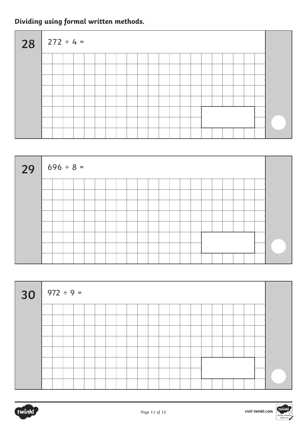# **Dividing using formal written methods.**

| $28$ $272 \div 4 =$ |  |  |  |  |  |  |  |  |  |  |  |
|---------------------|--|--|--|--|--|--|--|--|--|--|--|
|                     |  |  |  |  |  |  |  |  |  |  |  |
|                     |  |  |  |  |  |  |  |  |  |  |  |
|                     |  |  |  |  |  |  |  |  |  |  |  |
|                     |  |  |  |  |  |  |  |  |  |  |  |
|                     |  |  |  |  |  |  |  |  |  |  |  |
|                     |  |  |  |  |  |  |  |  |  |  |  |
|                     |  |  |  |  |  |  |  |  |  |  |  |
|                     |  |  |  |  |  |  |  |  |  |  |  |

| $29   696 \div 8 =$ |  |  |  |  |  |  |  |  |  |  |
|---------------------|--|--|--|--|--|--|--|--|--|--|
|                     |  |  |  |  |  |  |  |  |  |  |
|                     |  |  |  |  |  |  |  |  |  |  |
|                     |  |  |  |  |  |  |  |  |  |  |
|                     |  |  |  |  |  |  |  |  |  |  |
|                     |  |  |  |  |  |  |  |  |  |  |
|                     |  |  |  |  |  |  |  |  |  |  |
|                     |  |  |  |  |  |  |  |  |  |  |

| $30   972 \div 9 =$ |  |  |  |  |  |  |  |  |  |  |  |
|---------------------|--|--|--|--|--|--|--|--|--|--|--|
|                     |  |  |  |  |  |  |  |  |  |  |  |
|                     |  |  |  |  |  |  |  |  |  |  |  |
|                     |  |  |  |  |  |  |  |  |  |  |  |
|                     |  |  |  |  |  |  |  |  |  |  |  |
|                     |  |  |  |  |  |  |  |  |  |  |  |
|                     |  |  |  |  |  |  |  |  |  |  |  |
|                     |  |  |  |  |  |  |  |  |  |  |  |
|                     |  |  |  |  |  |  |  |  |  |  |  |

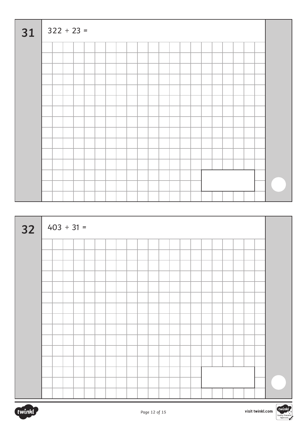| 31 | $322 \div 23 =$ |  |  |  |  |  |  |  |  |  |  |  |
|----|-----------------|--|--|--|--|--|--|--|--|--|--|--|
|    |                 |  |  |  |  |  |  |  |  |  |  |  |
|    |                 |  |  |  |  |  |  |  |  |  |  |  |
|    |                 |  |  |  |  |  |  |  |  |  |  |  |
|    |                 |  |  |  |  |  |  |  |  |  |  |  |
|    |                 |  |  |  |  |  |  |  |  |  |  |  |
|    |                 |  |  |  |  |  |  |  |  |  |  |  |
|    |                 |  |  |  |  |  |  |  |  |  |  |  |
|    |                 |  |  |  |  |  |  |  |  |  |  |  |
|    |                 |  |  |  |  |  |  |  |  |  |  |  |
|    |                 |  |  |  |  |  |  |  |  |  |  |  |
|    |                 |  |  |  |  |  |  |  |  |  |  |  |
|    |                 |  |  |  |  |  |  |  |  |  |  |  |
|    |                 |  |  |  |  |  |  |  |  |  |  |  |
|    |                 |  |  |  |  |  |  |  |  |  |  |  |
|    |                 |  |  |  |  |  |  |  |  |  |  |  |

| $32   403 \div 31 =$ |  |  |  |  |  |  |  |  |  |  |  |  |  |  |
|----------------------|--|--|--|--|--|--|--|--|--|--|--|--|--|--|
|                      |  |  |  |  |  |  |  |  |  |  |  |  |  |  |
|                      |  |  |  |  |  |  |  |  |  |  |  |  |  |  |
|                      |  |  |  |  |  |  |  |  |  |  |  |  |  |  |
|                      |  |  |  |  |  |  |  |  |  |  |  |  |  |  |
|                      |  |  |  |  |  |  |  |  |  |  |  |  |  |  |
|                      |  |  |  |  |  |  |  |  |  |  |  |  |  |  |
|                      |  |  |  |  |  |  |  |  |  |  |  |  |  |  |
|                      |  |  |  |  |  |  |  |  |  |  |  |  |  |  |
|                      |  |  |  |  |  |  |  |  |  |  |  |  |  |  |
|                      |  |  |  |  |  |  |  |  |  |  |  |  |  |  |
|                      |  |  |  |  |  |  |  |  |  |  |  |  |  |  |
|                      |  |  |  |  |  |  |  |  |  |  |  |  |  |  |
|                      |  |  |  |  |  |  |  |  |  |  |  |  |  |  |
|                      |  |  |  |  |  |  |  |  |  |  |  |  |  |  |
|                      |  |  |  |  |  |  |  |  |  |  |  |  |  |  |

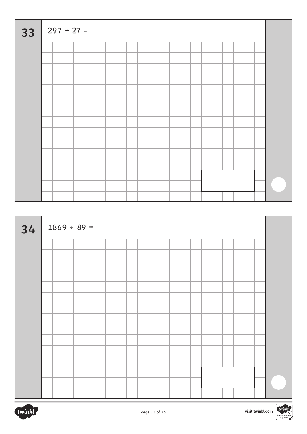| 33 |  | $297 \div 27 =$ |  |  |  |  |  |  |  |  |  |
|----|--|-----------------|--|--|--|--|--|--|--|--|--|
|    |  |                 |  |  |  |  |  |  |  |  |  |
|    |  |                 |  |  |  |  |  |  |  |  |  |
|    |  |                 |  |  |  |  |  |  |  |  |  |
|    |  |                 |  |  |  |  |  |  |  |  |  |
|    |  |                 |  |  |  |  |  |  |  |  |  |
|    |  |                 |  |  |  |  |  |  |  |  |  |
|    |  |                 |  |  |  |  |  |  |  |  |  |
|    |  |                 |  |  |  |  |  |  |  |  |  |
|    |  |                 |  |  |  |  |  |  |  |  |  |
|    |  |                 |  |  |  |  |  |  |  |  |  |
|    |  |                 |  |  |  |  |  |  |  |  |  |
|    |  |                 |  |  |  |  |  |  |  |  |  |
|    |  |                 |  |  |  |  |  |  |  |  |  |
|    |  |                 |  |  |  |  |  |  |  |  |  |
|    |  |                 |  |  |  |  |  |  |  |  |  |

| 34 |  | $1869 \div 89 =$ |  |  |  |  |  |  |  |  |  |
|----|--|------------------|--|--|--|--|--|--|--|--|--|
|    |  |                  |  |  |  |  |  |  |  |  |  |
|    |  |                  |  |  |  |  |  |  |  |  |  |
|    |  |                  |  |  |  |  |  |  |  |  |  |
|    |  |                  |  |  |  |  |  |  |  |  |  |
|    |  |                  |  |  |  |  |  |  |  |  |  |
|    |  |                  |  |  |  |  |  |  |  |  |  |
|    |  |                  |  |  |  |  |  |  |  |  |  |
|    |  |                  |  |  |  |  |  |  |  |  |  |
|    |  |                  |  |  |  |  |  |  |  |  |  |
|    |  |                  |  |  |  |  |  |  |  |  |  |
|    |  |                  |  |  |  |  |  |  |  |  |  |
|    |  |                  |  |  |  |  |  |  |  |  |  |
|    |  |                  |  |  |  |  |  |  |  |  |  |
|    |  |                  |  |  |  |  |  |  |  |  |  |
|    |  |                  |  |  |  |  |  |  |  |  |  |



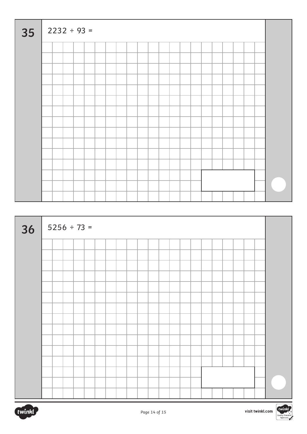| 35 |  | $2232 \div 93 =$ |  |  |  |  |  |  |  |  |  |
|----|--|------------------|--|--|--|--|--|--|--|--|--|
|    |  |                  |  |  |  |  |  |  |  |  |  |
|    |  |                  |  |  |  |  |  |  |  |  |  |
|    |  |                  |  |  |  |  |  |  |  |  |  |
|    |  |                  |  |  |  |  |  |  |  |  |  |
|    |  |                  |  |  |  |  |  |  |  |  |  |
|    |  |                  |  |  |  |  |  |  |  |  |  |
|    |  |                  |  |  |  |  |  |  |  |  |  |
|    |  |                  |  |  |  |  |  |  |  |  |  |
|    |  |                  |  |  |  |  |  |  |  |  |  |
|    |  |                  |  |  |  |  |  |  |  |  |  |
|    |  |                  |  |  |  |  |  |  |  |  |  |
|    |  |                  |  |  |  |  |  |  |  |  |  |
|    |  |                  |  |  |  |  |  |  |  |  |  |
|    |  |                  |  |  |  |  |  |  |  |  |  |
|    |  |                  |  |  |  |  |  |  |  |  |  |

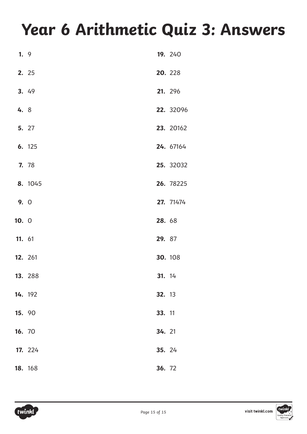# **Year 6 Arithmetic Quiz 3: Answers**

| 1.9    |         |        | 19. 240   |
|--------|---------|--------|-----------|
|        | 2. 25   |        | 20. 228   |
|        | 3. 49   |        | 21. 296   |
| 4. 8   |         |        | 22. 32096 |
|        | 5. 27   |        | 23. 20162 |
|        | 6. 125  |        | 24. 67164 |
|        | 7. 78   |        | 25. 32032 |
|        | 8. 1045 |        | 26. 78225 |
| 9. 0   |         |        | 27. 71474 |
| 10.0   |         | 28. 68 |           |
| 11. 61 |         | 29. 87 |           |
|        | 12. 261 |        | 30. 108   |
|        | 13. 288 | 31. 14 |           |
|        | 14. 192 | 32. 13 |           |
| 15. 90 |         | 33. 11 |           |
| 16. 70 |         | 34. 21 |           |
|        | 17. 224 | 35. 24 |           |
|        | 18. 168 | 36. 72 |           |

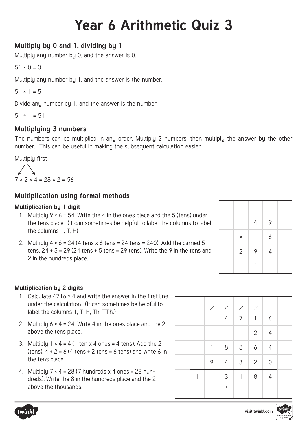# **Year 6 Arithmetic Quiz 3**

## **Multiply by 0 and 1, dividing by 1**

Multiply any number by 0, and the answer is 0.

```
51 \times 0 = 0
```
Multiply any number by 1, and the answer is the number.

 $51 \times 1 = 51$ 

Divide any number by 1, and the answer is the number.

 $51 \div 1 = 51$ 

### **Multiplying 3 numbers**

The numbers can be multiplied in any order. Multiply 2 numbers, then multiply the answer by the other number. This can be useful in making the subsequent calculation easier.

Multiply first

$$
7 \times 2 \times 4 = 28 \times 2 = 56
$$

### **Multiplication using formal methods**

#### **Multiplication by 1 digit**

- 1. Multiply  $9 \times 6 = 54$ . Write the 4 in the ones place and the 5 (tens) under the tens place. (It can sometimes be helpful to label the columns to label the columns 1, T, H)
- 2. Multiply  $4 \times 6 = 24$  (4 tens  $\times 6$  tens = 24 tens = 240). Add the carried 5 tens.  $24 + 5 = 29(24 \text{ tens} + 5 \text{ tens} = 29 \text{ tens})$ . Write the 9 in the tens and 2 in the hundreds place.

|                | $\overline{4}$ | 9 |  |
|----------------|----------------|---|--|
| $\pmb{\times}$ |                | 6 |  |
| $\overline{2}$ | 9              | 4 |  |
|                | 5              |   |  |

#### **Multiplication by 2 digits**

- 1. Calculate 4716 × 4 and write the answer in the first line under the calculation. (It can sometimes be helpful to label the columns 1, T, H, Th, TTh.)
- 2. Multiply  $6 \times 4 = 24$ . Write 4 in the ones place and the 2 above the tens place.
- 3. Multiply  $1 \times 4 = 4$  (1 ten x 4 ones = 4 tens). Add the 2 (tens),  $4 + 2 = 6$  (4 tens + 2 tens = 6 tens) and write 6 in the tens place.
- 4. Multiply  $7 \times 4 = 28$  (7 hundreds x 4 ones = 28 hundreds). Write the 8 in the hundreds place and the 2 above the thousands.

|   | $\chi^{\prime}$ | $\chi$         | $\chi^{\prime}$ | $\boldsymbol{\chi}$ |                  |  |
|---|-----------------|----------------|-----------------|---------------------|------------------|--|
|   |                 | $\overline{4}$ | $\overline{7}$  | $\mathbf{1}$        | $\boldsymbol{6}$ |  |
|   |                 |                |                 | $\mathbf{2}$        | $\overline{4}$   |  |
|   | $\mathbf{1}$    | $8\,$          | $8\,$           | $\boldsymbol{6}$    | $\overline{4}$   |  |
|   | 9               | $\overline{4}$ | 3 <sup>7</sup>  | $\overline{2}$      | $\mathbf 0$      |  |
| 1 | 1               | $\mathbf{3}$   | $\mathbf{1}$    | 8                   | $\overline{4}$   |  |
|   | $\mathbf{1}$    | $\mathbf{1}$   |                 |                     |                  |  |